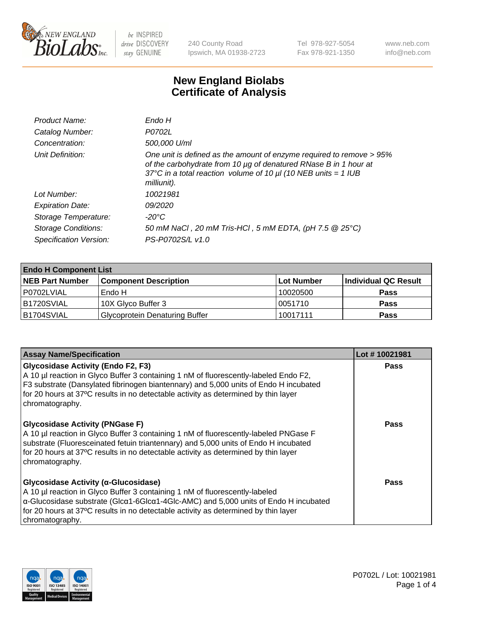

240 County Road Ipswich, MA 01938-2723 Tel 978-927-5054 Fax 978-921-1350 www.neb.com info@neb.com

## **New England Biolabs Certificate of Analysis**

| Product Name:              | Endo H                                                                                                                                                                                                                         |
|----------------------------|--------------------------------------------------------------------------------------------------------------------------------------------------------------------------------------------------------------------------------|
| Catalog Number:            | P0702L                                                                                                                                                                                                                         |
| Concentration:             | 500,000 U/ml                                                                                                                                                                                                                   |
| Unit Definition:           | One unit is defined as the amount of enzyme required to remove > 95%<br>of the carbohydrate from 10 µg of denatured RNase B in 1 hour at<br>37°C in a total reaction volume of 10 $\mu$ I (10 NEB units = 1 IUB<br>milliunit). |
| Lot Number:                | 10021981                                                                                                                                                                                                                       |
| <b>Expiration Date:</b>    | <i>09/2020</i>                                                                                                                                                                                                                 |
| Storage Temperature:       | -20°C                                                                                                                                                                                                                          |
| <b>Storage Conditions:</b> | 50 mM NaCl, 20 mM Tris-HCl, 5 mM EDTA, (pH 7.5 @ 25°C)                                                                                                                                                                         |
| Specification Version:     | PS-P0702S/L v1.0                                                                                                                                                                                                               |

| <b>Endo H Component List</b> |                                       |            |                      |  |
|------------------------------|---------------------------------------|------------|----------------------|--|
| <b>NEB Part Number</b>       | <b>Component Description</b>          | Lot Number | Individual QC Result |  |
| P0702LVIAL                   | 'Endo H                               | 10020500   | <b>Pass</b>          |  |
| B1720SVIAL                   | 10X Glyco Buffer 3                    | 10051710   | <b>Pass</b>          |  |
| IB1704SVIAL                  | <b>Glycoprotein Denaturing Buffer</b> | 10017111   | <b>Pass</b>          |  |

| <b>Assay Name/Specification</b>                                                                                                                                                                                                                                                                                                               | Lot #10021981 |
|-----------------------------------------------------------------------------------------------------------------------------------------------------------------------------------------------------------------------------------------------------------------------------------------------------------------------------------------------|---------------|
| <b>Glycosidase Activity (Endo F2, F3)</b><br>A 10 µl reaction in Glyco Buffer 3 containing 1 nM of fluorescently-labeled Endo F2,<br>F3 substrate (Dansylated fibrinogen biantennary) and 5,000 units of Endo H incubated<br>for 20 hours at 37°C results in no detectable activity as determined by thin layer<br>chromatography.            | <b>Pass</b>   |
| <b>Glycosidase Activity (PNGase F)</b><br>A 10 µl reaction in Glyco Buffer 3 containing 1 nM of fluorescently-labeled PNGase F<br>substrate (Fluoresceinated fetuin triantennary) and 5,000 units of Endo H incubated<br>for 20 hours at 37°C results in no detectable activity as determined by thin layer<br>chromatography.                | Pass          |
| Glycosidase Activity (α-Glucosidase)<br>A 10 µl reaction in Glyco Buffer 3 containing 1 nM of fluorescently-labeled<br>$\alpha$ -Glucosidase substrate (Glc $\alpha$ 1-6Glc $\alpha$ 1-4Glc-AMC) and 5,000 units of Endo H incubated<br>for 20 hours at 37°C results in no detectable activity as determined by thin layer<br>chromatography. | Pass          |

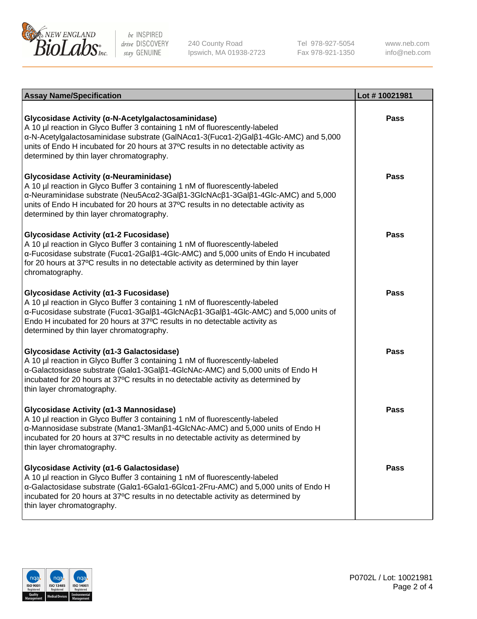

240 County Road Ipswich, MA 01938-2723 Tel 978-927-5054 Fax 978-921-1350

www.neb.com info@neb.com

| <b>Assay Name/Specification</b>                                                                                                                                                                                                                                                                                                                             | Lot #10021981 |
|-------------------------------------------------------------------------------------------------------------------------------------------------------------------------------------------------------------------------------------------------------------------------------------------------------------------------------------------------------------|---------------|
| Glycosidase Activity (α-N-Acetylgalactosaminidase)<br>A 10 µl reaction in Glyco Buffer 3 containing 1 nM of fluorescently-labeled<br>α-N-Acetylgalactosaminidase substrate (GalNAcα1-3(Fucα1-2)Galβ1-4Glc-AMC) and 5,000<br>units of Endo H incubated for 20 hours at 37°C results in no detectable activity as<br>determined by thin layer chromatography. | <b>Pass</b>   |
| Glycosidase Activity (α-Neuraminidase)<br>A 10 µl reaction in Glyco Buffer 3 containing 1 nM of fluorescently-labeled<br>α-Neuraminidase substrate (Neu5Acα2-3Galβ1-3GlcNAcβ1-3Galβ1-4Glc-AMC) and 5,000<br>units of Endo H incubated for 20 hours at 37°C results in no detectable activity as<br>determined by thin layer chromatography.                 | <b>Pass</b>   |
| Glycosidase Activity (α1-2 Fucosidase)<br>A 10 µl reaction in Glyco Buffer 3 containing 1 nM of fluorescently-labeled<br>α-Fucosidase substrate (Fucα1-2Galβ1-4Glc-AMC) and 5,000 units of Endo H incubated<br>for 20 hours at 37°C results in no detectable activity as determined by thin layer<br>chromatography.                                        | <b>Pass</b>   |
| Glycosidase Activity (α1-3 Fucosidase)<br>A 10 µl reaction in Glyco Buffer 3 containing 1 nM of fluorescently-labeled<br>α-Fucosidase substrate (Fucα1-3Galβ1-4GlcNAcβ1-3Galβ1-4Glc-AMC) and 5,000 units of<br>Endo H incubated for 20 hours at 37°C results in no detectable activity as<br>determined by thin layer chromatography.                       | <b>Pass</b>   |
| Glycosidase Activity (α1-3 Galactosidase)<br>A 10 µl reaction in Glyco Buffer 3 containing 1 nM of fluorescently-labeled<br>α-Galactosidase substrate (Galα1-3Galβ1-4GlcNAc-AMC) and 5,000 units of Endo H<br>incubated for 20 hours at 37°C results in no detectable activity as determined by<br>thin layer chromatography.                               | <b>Pass</b>   |
| Glycosidase Activity (a1-3 Mannosidase)<br>A 10 µl reaction in Glyco Buffer 3 containing 1 nM of fluorescently-labeled<br>α-Mannosidase substrate (Manα1-3Manβ1-4GlcNAc-AMC) and 5,000 units of Endo H<br>incubated for 20 hours at 37°C results in no detectable activity as determined by<br>thin layer chromatography.                                   | <b>Pass</b>   |
| Glycosidase Activity (a1-6 Galactosidase)<br>A 10 µl reaction in Glyco Buffer 3 containing 1 nM of fluorescently-labeled<br>α-Galactosidase substrate (Galα1-6Galα1-6Glcα1-2Fru-AMC) and 5,000 units of Endo H<br>incubated for 20 hours at 37°C results in no detectable activity as determined by<br>thin layer chromatography.                           | <b>Pass</b>   |

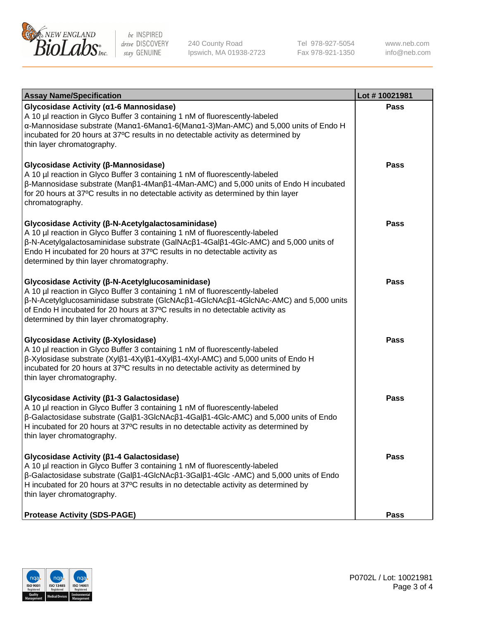

240 County Road Ipswich, MA 01938-2723 Tel 978-927-5054 Fax 978-921-1350 www.neb.com info@neb.com

| <b>Assay Name/Specification</b>                                                                                                                                                                                                                                                                                                                                      | Lot #10021981 |
|----------------------------------------------------------------------------------------------------------------------------------------------------------------------------------------------------------------------------------------------------------------------------------------------------------------------------------------------------------------------|---------------|
| Glycosidase Activity (α1-6 Mannosidase)<br>A 10 µl reaction in Glyco Buffer 3 containing 1 nM of fluorescently-labeled<br>α-Mannosidase substrate (Μanα1-6Μanα1-6(Μanα1-3)Man-AMC) and 5,000 units of Endo H<br>incubated for 20 hours at 37°C results in no detectable activity as determined by<br>thin layer chromatography.                                      | <b>Pass</b>   |
| Glycosidase Activity (β-Mannosidase)<br>A 10 µl reaction in Glyco Buffer 3 containing 1 nM of fluorescently-labeled<br>$\beta$ -Mannosidase substrate (Man $\beta$ 1-4Man $\beta$ 1-4Man-AMC) and 5,000 units of Endo H incubated<br>for 20 hours at 37°C results in no detectable activity as determined by thin layer<br>chromatography.                           | <b>Pass</b>   |
| Glycosidase Activity (β-N-Acetylgalactosaminidase)<br>A 10 µl reaction in Glyco Buffer 3 containing 1 nM of fluorescently-labeled<br>β-N-Acetylgalactosaminidase substrate (GalNAcβ1-4Galβ1-4Glc-AMC) and 5,000 units of<br>Endo H incubated for 20 hours at 37°C results in no detectable activity as<br>determined by thin layer chromatography.                   | <b>Pass</b>   |
| Glycosidase Activity (β-N-Acetylglucosaminidase)<br>A 10 µl reaction in Glyco Buffer 3 containing 1 nM of fluorescently-labeled<br>β-N-Acetylglucosaminidase substrate (GlcNAcβ1-4GlcNAcβ1-4GlcNAc-AMC) and 5,000 units<br>of Endo H incubated for 20 hours at 37°C results in no detectable activity as<br>determined by thin layer chromatography.                 | <b>Pass</b>   |
| Glycosidase Activity (β-Xylosidase)<br>A 10 µl reaction in Glyco Buffer 3 containing 1 nM of fluorescently-labeled<br>β-Xylosidase substrate (Xylβ1-4Xylβ1-4Xylβ1-4Xyl-AMC) and 5,000 units of Endo H<br>incubated for 20 hours at 37°C results in no detectable activity as determined by<br>thin layer chromatography.                                             | <b>Pass</b>   |
| Glycosidase Activity (β1-3 Galactosidase)<br>A 10 µl reaction in Glyco Buffer 3 containing 1 nM of fluorescently-labeled<br>$\beta$ -Galactosidase substrate (Gal $\beta$ 1-3GlcNAc $\beta$ 1-4Gal $\beta$ 1-4Glc-AMC) and 5,000 units of Endo<br>H incubated for 20 hours at 37°C results in no detectable activity as determined by<br>thin layer chromatography.  | <b>Pass</b>   |
| Glycosidase Activity (β1-4 Galactosidase)<br>A 10 µl reaction in Glyco Buffer 3 containing 1 nM of fluorescently-labeled<br>$\beta$ -Galactosidase substrate (Gal $\beta$ 1-4GlcNAc $\beta$ 1-3Gal $\beta$ 1-4Glc -AMC) and 5,000 units of Endo<br>H incubated for 20 hours at 37°C results in no detectable activity as determined by<br>thin layer chromatography. | Pass          |
| <b>Protease Activity (SDS-PAGE)</b>                                                                                                                                                                                                                                                                                                                                  | <b>Pass</b>   |